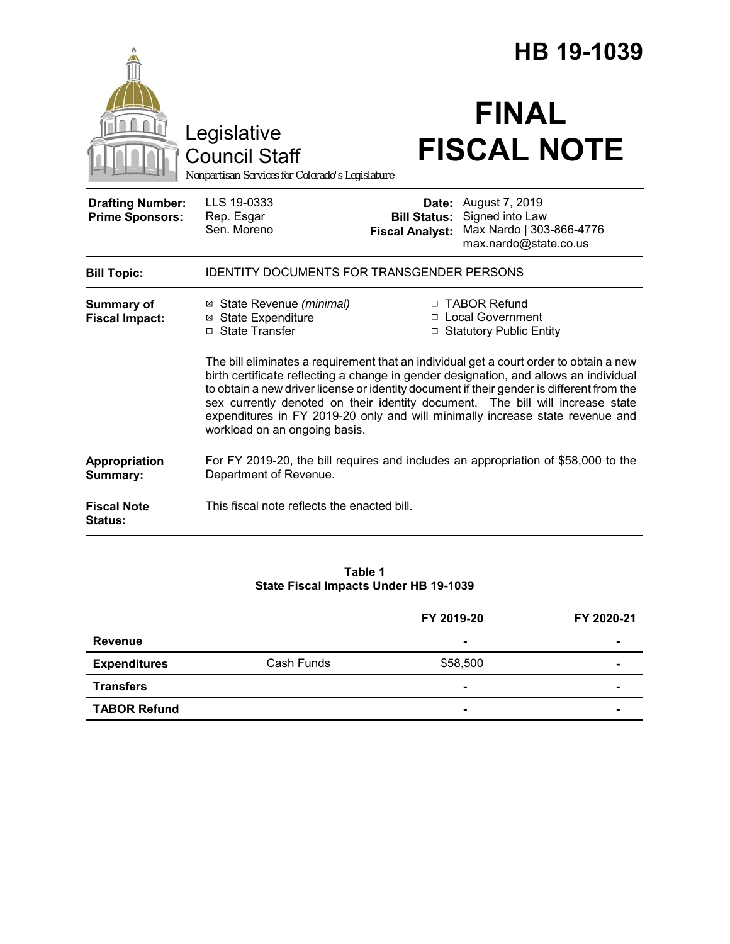|                                                   |                                                                                                                                                                                                                                                                                                                                                                                                                                                                                  | HB 19-1039                                    |                                                                                                     |  |
|---------------------------------------------------|----------------------------------------------------------------------------------------------------------------------------------------------------------------------------------------------------------------------------------------------------------------------------------------------------------------------------------------------------------------------------------------------------------------------------------------------------------------------------------|-----------------------------------------------|-----------------------------------------------------------------------------------------------------|--|
|                                                   | Legislative<br><b>Council Staff</b><br>Nonpartisan Services for Colorado's Legislature                                                                                                                                                                                                                                                                                                                                                                                           |                                               | <b>FINAL</b><br><b>FISCAL NOTE</b>                                                                  |  |
| <b>Drafting Number:</b><br><b>Prime Sponsors:</b> | LLS 19-0333<br>Rep. Esgar<br>Sen. Moreno                                                                                                                                                                                                                                                                                                                                                                                                                                         | <b>Bill Status:</b><br><b>Fiscal Analyst:</b> | <b>Date:</b> August 7, 2019<br>Signed into Law<br>Max Nardo   303-866-4776<br>max.nardo@state.co.us |  |
| <b>Bill Topic:</b>                                | IDENTITY DOCUMENTS FOR TRANSGENDER PERSONS                                                                                                                                                                                                                                                                                                                                                                                                                                       |                                               |                                                                                                     |  |
| <b>Summary of</b><br><b>Fiscal Impact:</b>        | ⊠ State Revenue (minimal)<br><b>⊠</b> State Expenditure<br>□ State Transfer                                                                                                                                                                                                                                                                                                                                                                                                      |                                               | □ TABOR Refund<br>□ Local Government<br>□ Statutory Public Entity                                   |  |
|                                                   | The bill eliminates a requirement that an individual get a court order to obtain a new<br>birth certificate reflecting a change in gender designation, and allows an individual<br>to obtain a new driver license or identity document if their gender is different from the<br>sex currently denoted on their identity document. The bill will increase state<br>expenditures in FY 2019-20 only and will minimally increase state revenue and<br>workload on an ongoing basis. |                                               |                                                                                                     |  |
| Appropriation<br>Summary:                         | Department of Revenue.                                                                                                                                                                                                                                                                                                                                                                                                                                                           |                                               | For FY 2019-20, the bill requires and includes an appropriation of \$58,000 to the                  |  |
| <b>Fiscal Note</b><br><b>Status:</b>              | This fiscal note reflects the enacted bill.                                                                                                                                                                                                                                                                                                                                                                                                                                      |                                               |                                                                                                     |  |

#### **Table 1 State Fiscal Impacts Under HB 19-1039**

|                     |            | FY 2019-20 | FY 2020-21 |
|---------------------|------------|------------|------------|
| <b>Revenue</b>      |            | $\sim$     |            |
| <b>Expenditures</b> | Cash Funds | \$58,500   |            |
| <b>Transfers</b>    |            | $\sim$     |            |
| <b>TABOR Refund</b> |            | $\sim$     |            |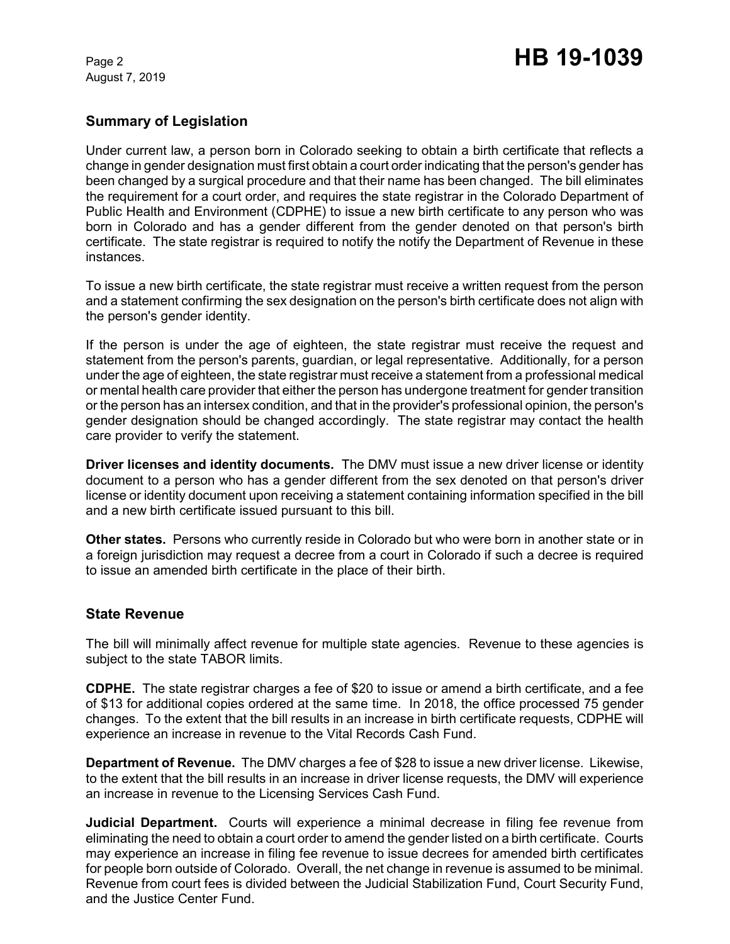August 7, 2019

### **Summary of Legislation**

Under current law, a person born in Colorado seeking to obtain a birth certificate that reflects a change in gender designation must first obtain a court order indicating that the person's gender has been changed by a surgical procedure and that their name has been changed. The bill eliminates the requirement for a court order, and requires the state registrar in the Colorado Department of Public Health and Environment (CDPHE) to issue a new birth certificate to any person who was born in Colorado and has a gender different from the gender denoted on that person's birth certificate. The state registrar is required to notify the notify the Department of Revenue in these instances.

To issue a new birth certificate, the state registrar must receive a written request from the person and a statement confirming the sex designation on the person's birth certificate does not align with the person's gender identity.

If the person is under the age of eighteen, the state registrar must receive the request and statement from the person's parents, guardian, or legal representative. Additionally, for a person under the age of eighteen, the state registrar must receive a statement from a professional medical or mental health care provider that either the person has undergone treatment for gender transition or the person has an intersex condition, and that in the provider's professional opinion, the person's gender designation should be changed accordingly. The state registrar may contact the health care provider to verify the statement.

**Driver licenses and identity documents.** The DMV must issue a new driver license or identity document to a person who has a gender different from the sex denoted on that person's driver license or identity document upon receiving a statement containing information specified in the bill and a new birth certificate issued pursuant to this bill.

**Other states.** Persons who currently reside in Colorado but who were born in another state or in a foreign jurisdiction may request a decree from a court in Colorado if such a decree is required to issue an amended birth certificate in the place of their birth.

#### **State Revenue**

The bill will minimally affect revenue for multiple state agencies. Revenue to these agencies is subject to the state TABOR limits.

**CDPHE.** The state registrar charges a fee of \$20 to issue or amend a birth certificate, and a fee of \$13 for additional copies ordered at the same time. In 2018, the office processed 75 gender changes. To the extent that the bill results in an increase in birth certificate requests, CDPHE will experience an increase in revenue to the Vital Records Cash Fund.

**Department of Revenue.** The DMV charges a fee of \$28 to issue a new driver license. Likewise, to the extent that the bill results in an increase in driver license requests, the DMV will experience an increase in revenue to the Licensing Services Cash Fund.

**Judicial Department.** Courts will experience a minimal decrease in filing fee revenue from eliminating the need to obtain a court order to amend the gender listed on a birth certificate. Courts may experience an increase in filing fee revenue to issue decrees for amended birth certificates for people born outside of Colorado. Overall, the net change in revenue is assumed to be minimal. Revenue from court fees is divided between the Judicial Stabilization Fund, Court Security Fund, and the Justice Center Fund.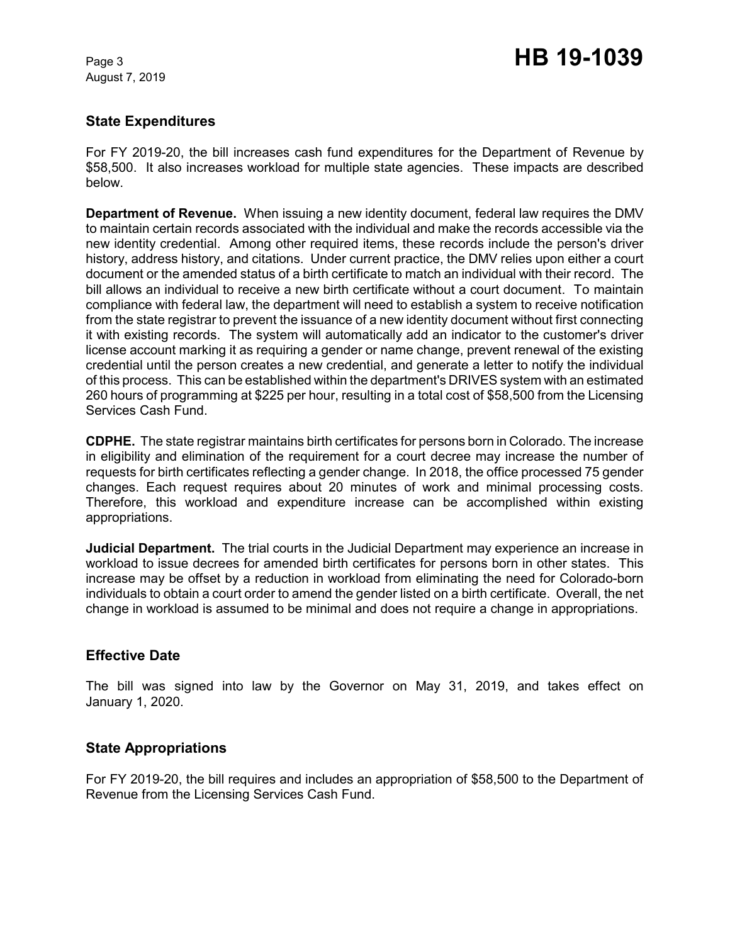August 7, 2019

# Page 3 **HB 19-1039**

#### **State Expenditures**

For FY 2019-20, the bill increases cash fund expenditures for the Department of Revenue by \$58,500. It also increases workload for multiple state agencies. These impacts are described below.

**Department of Revenue.** When issuing a new identity document, federal law requires the DMV to maintain certain records associated with the individual and make the records accessible via the new identity credential. Among other required items, these records include the person's driver history, address history, and citations. Under current practice, the DMV relies upon either a court document or the amended status of a birth certificate to match an individual with their record. The bill allows an individual to receive a new birth certificate without a court document. To maintain compliance with federal law, the department will need to establish a system to receive notification from the state registrar to prevent the issuance of a new identity document without first connecting it with existing records. The system will automatically add an indicator to the customer's driver license account marking it as requiring a gender or name change, prevent renewal of the existing credential until the person creates a new credential, and generate a letter to notify the individual of this process. This can be established within the department's DRIVES system with an estimated 260 hours of programming at \$225 per hour, resulting in a total cost of \$58,500 from the Licensing Services Cash Fund.

**CDPHE.** The state registrar maintains birth certificates for persons born in Colorado. The increase in eligibility and elimination of the requirement for a court decree may increase the number of requests for birth certificates reflecting a gender change. In 2018, the office processed 75 gender changes. Each request requires about 20 minutes of work and minimal processing costs. Therefore, this workload and expenditure increase can be accomplished within existing appropriations.

**Judicial Department.** The trial courts in the Judicial Department may experience an increase in workload to issue decrees for amended birth certificates for persons born in other states. This increase may be offset by a reduction in workload from eliminating the need for Colorado-born individuals to obtain a court order to amend the gender listed on a birth certificate. Overall, the net change in workload is assumed to be minimal and does not require a change in appropriations.

#### **Effective Date**

The bill was signed into law by the Governor on May 31, 2019, and takes effect on January 1, 2020.

#### **State Appropriations**

For FY 2019-20, the bill requires and includes an appropriation of \$58,500 to the Department of Revenue from the Licensing Services Cash Fund.